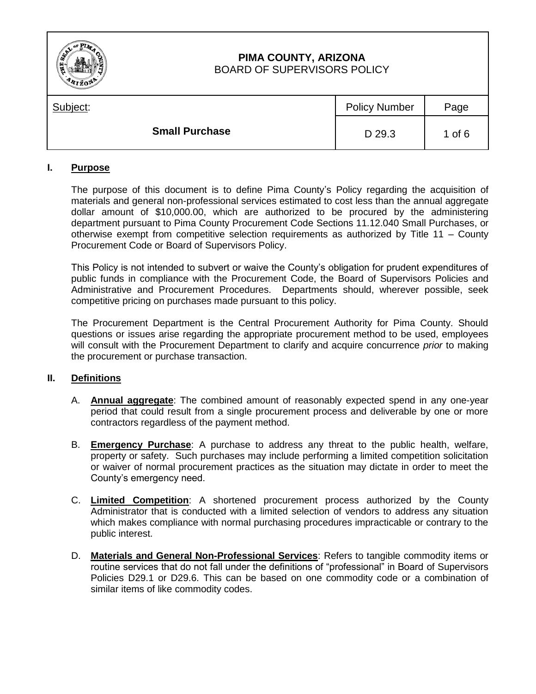| Ê<br>믡   | PIMA COUNTY, ARIZONA<br><b>BOARD OF SUPERVISORS POLICY</b> |                      |          |
|----------|------------------------------------------------------------|----------------------|----------|
| Subject: |                                                            | <b>Policy Number</b> | Page     |
|          | <b>Small Purchase</b>                                      | D 29.3               | 1 of $6$ |

# **I. Purpose**

The purpose of this document is to define Pima County's Policy regarding the acquisition of materials and general non-professional services estimated to cost less than the annual aggregate dollar amount of \$10,000.00, which are authorized to be procured by the administering department pursuant to Pima County Procurement Code Sections 11.12.040 Small Purchases, or otherwise exempt from competitive selection requirements as authorized by Title 11 – County Procurement Code or Board of Supervisors Policy.

This Policy is not intended to subvert or waive the County's obligation for prudent expenditures of public funds in compliance with the Procurement Code, the Board of Supervisors Policies and Administrative and Procurement Procedures. Departments should, wherever possible, seek competitive pricing on purchases made pursuant to this policy.

The Procurement Department is the Central Procurement Authority for Pima County. Should questions or issues arise regarding the appropriate procurement method to be used, employees will consult with the Procurement Department to clarify and acquire concurrence *prior* to making the procurement or purchase transaction.

## **II. Definitions**

- A. **Annual aggregate**: The combined amount of reasonably expected spend in any one-year period that could result from a single procurement process and deliverable by one or more contractors regardless of the payment method.
- B. **Emergency Purchase**: A purchase to address any threat to the public health, welfare, property or safety. Such purchases may include performing a limited competition solicitation or waiver of normal procurement practices as the situation may dictate in order to meet the County's emergency need.
- C. **Limited Competition**: A shortened procurement process authorized by the County Administrator that is conducted with a limited selection of vendors to address any situation which makes compliance with normal purchasing procedures impracticable or contrary to the public interest.
- D. **Materials and General Non-Professional Services**: Refers to tangible commodity items or routine services that do not fall under the definitions of "professional" in Board of Supervisors Policies D29.1 or D29.6. This can be based on one commodity code or a combination of similar items of like commodity codes.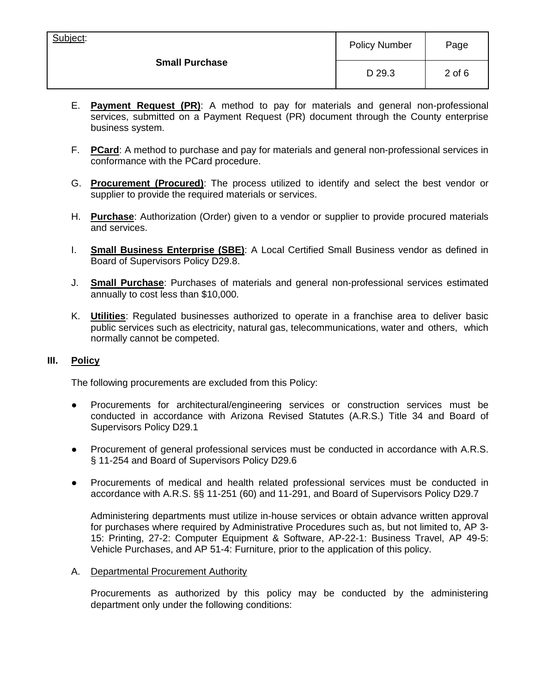| Subject:<br><b>Small Purchase</b> | <b>Policy Number</b> | Page       |
|-----------------------------------|----------------------|------------|
|                                   | D 29.3               | $2$ of $6$ |

- E. **Payment Request (PR)**: A method to pay for materials and general non-professional services, submitted on a Payment Request (PR) document through the County enterprise business system.
- F. **PCard**: A method to purchase and pay for materials and general non-professional services in conformance with the PCard procedure.
- G. **Procurement (Procured)**: The process utilized to identify and select the best vendor or supplier to provide the required materials or services.
- H. **Purchase**: Authorization (Order) given to a vendor or supplier to provide procured materials and services.
- I. **Small Business Enterprise (SBE)**: A Local Certified Small Business vendor as defined in Board of Supervisors Policy D29.8.
- J. **Small Purchase**: Purchases of materials and general non-professional services estimated annually to cost less than \$10,000.
- K. **Utilities**: Regulated businesses authorized to operate in a franchise area to deliver basic public services such as electricity, natural gas, telecommunications, water and others, which normally cannot be competed.

## **III. Policy**

The following procurements are excluded from this Policy:

- Procurements for architectural/engineering services or construction services must be conducted in accordance with Arizona Revised Statutes (A.R.S.) Title 34 and Board of Supervisors Policy D29.1
- Procurement of general professional services must be conducted in accordance with A.R.S. § 11-254 and Board of Supervisors Policy D29.6
- Procurements of medical and health related professional services must be conducted in accordance with A.R.S. §§ 11-251 (60) and 11-291, and Board of Supervisors Policy D29.7

Administering departments must utilize in-house services or obtain advance written approval for purchases where required by Administrative Procedures such as, but not limited to, AP 3- 15: Printing, 27-2: Computer Equipment & Software, AP-22-1: Business Travel, AP 49-5: Vehicle Purchases, and AP 51-4: Furniture, prior to the application of this policy.

A. Departmental Procurement Authority

Procurements as authorized by this policy may be conducted by the administering department only under the following conditions: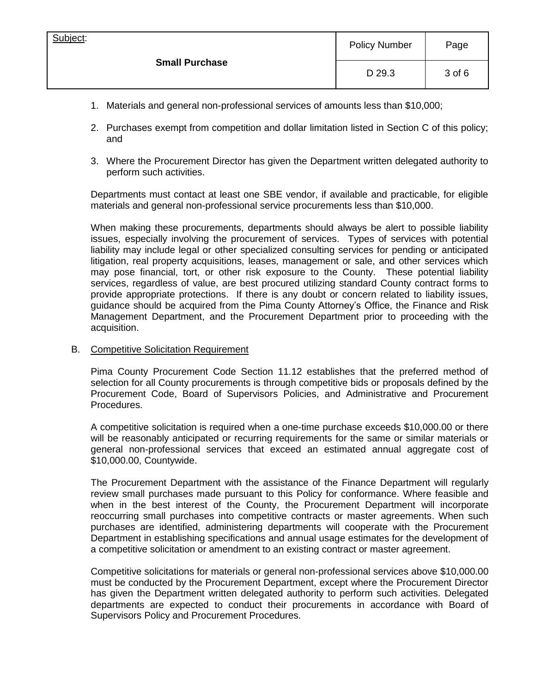| Subject:<br><b>Small Purchase</b> | <b>Policy Number</b> | Page   |
|-----------------------------------|----------------------|--------|
|                                   | D 29.3               | 3 of 6 |

- 1. Materials and general non-professional services of amounts less than \$10,000;
- 2. Purchases exempt from competition and dollar limitation listed in Section C of this policy; and
- 3. Where the Procurement Director has given the Department written delegated authority to perform such activities.

Departments must contact at least one SBE vendor, if available and practicable, for eligible materials and general non-professional service procurements less than \$10,000.

When making these procurements, departments should always be alert to possible liability issues, especially involving the procurement of services. Types of services with potential liability may include legal or other specialized consulting services for pending or anticipated litigation, real property acquisitions, leases, management or sale, and other services which may pose financial, tort, or other risk exposure to the County. These potential liability services, regardless of value, are best procured utilizing standard County contract forms to provide appropriate protections. If there is any doubt or concern related to liability issues, guidance should be acquired from the Pima County Attorney's Office, the Finance and Risk Management Department, and the Procurement Department prior to proceeding with the acquisition.

### B. Competitive Solicitation Requirement

Pima County Procurement Code Section 11.12 establishes that the preferred method of selection for all County procurements is through competitive bids or proposals defined by the Procurement Code, Board of Supervisors Policies, and Administrative and Procurement Procedures.

A competitive solicitation is required when a one-time purchase exceeds \$10,000.00 or there will be reasonably anticipated or recurring requirements for the same or similar materials or general non-professional services that exceed an estimated annual aggregate cost of \$10,000.00, Countywide.

The Procurement Department with the assistance of the Finance Department will regularly review small purchases made pursuant to this Policy for conformance. Where feasible and when in the best interest of the County, the Procurement Department will incorporate reoccurring small purchases into competitive contracts or master agreements. When such purchases are identified, administering departments will cooperate with the Procurement Department in establishing specifications and annual usage estimates for the development of a competitive solicitation or amendment to an existing contract or master agreement.

Competitive solicitations for materials or general non-professional services above \$10,000.00 must be conducted by the Procurement Department, except where the Procurement Director has given the Department written delegated authority to perform such activities. Delegated departments are expected to conduct their procurements in accordance with Board of Supervisors Policy and Procurement Procedures.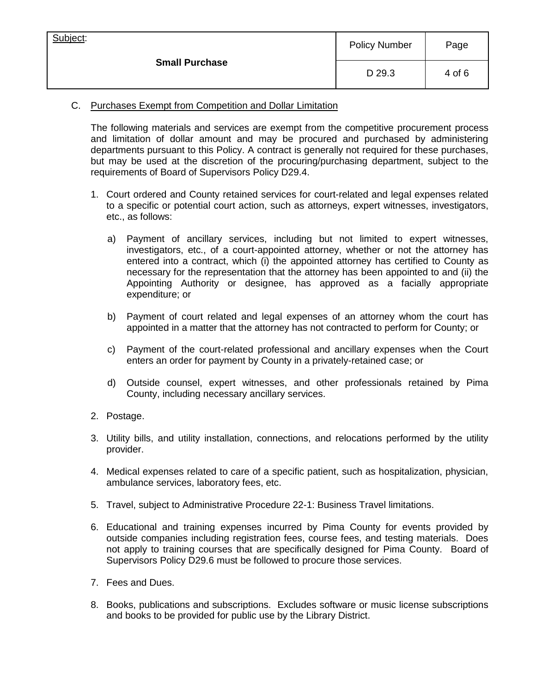| Subject:<br><b>Small Purchase</b> | <b>Policy Number</b> | Page   |
|-----------------------------------|----------------------|--------|
|                                   | D 29.3               | 4 of 6 |

# C. Purchases Exempt from Competition and Dollar Limitation

The following materials and services are exempt from the competitive procurement process and limitation of dollar amount and may be procured and purchased by administering departments pursuant to this Policy. A contract is generally not required for these purchases, but may be used at the discretion of the procuring/purchasing department, subject to the requirements of Board of Supervisors Policy D29.4.

- 1. Court ordered and County retained services for court-related and legal expenses related to a specific or potential court action, such as attorneys, expert witnesses, investigators, etc., as follows:
	- a) Payment of ancillary services, including but not limited to expert witnesses, investigators, etc., of a court-appointed attorney, whether or not the attorney has entered into a contract, which (i) the appointed attorney has certified to County as necessary for the representation that the attorney has been appointed to and (ii) the Appointing Authority or designee, has approved as a facially appropriate expenditure; or
	- b) Payment of court related and legal expenses of an attorney whom the court has appointed in a matter that the attorney has not contracted to perform for County; or
	- c) Payment of the court-related professional and ancillary expenses when the Court enters an order for payment by County in a privately-retained case; or
	- d) Outside counsel, expert witnesses, and other professionals retained by Pima County, including necessary ancillary services.
- 2. Postage.
- 3. Utility bills, and utility installation, connections, and relocations performed by the utility provider.
- 4. Medical expenses related to care of a specific patient, such as hospitalization, physician, ambulance services, laboratory fees, etc.
- 5. Travel, subject to Administrative Procedure 22-1: Business Travel limitations.
- 6. Educational and training expenses incurred by Pima County for events provided by outside companies including registration fees, course fees, and testing materials. Does not apply to training courses that are specifically designed for Pima County. Board of Supervisors Policy D29.6 must be followed to procure those services.
- 7. Fees and Dues.
- 8. Books, publications and subscriptions. Excludes software or music license subscriptions and books to be provided for public use by the Library District.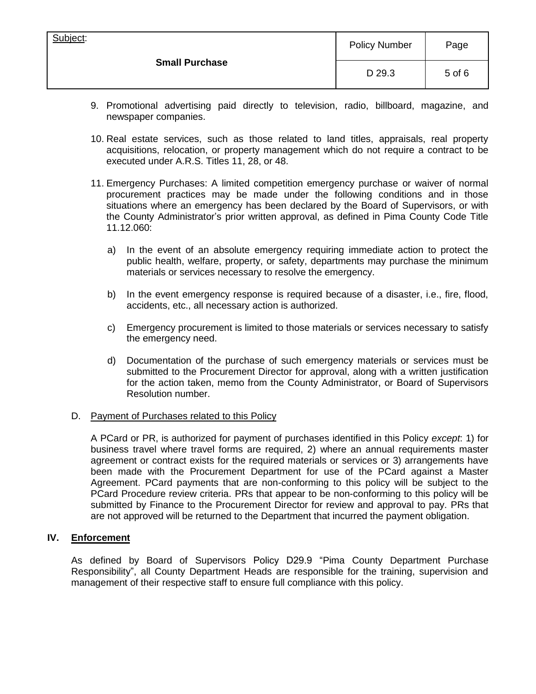| Subject:<br><b>Small Purchase</b> | <b>Policy Number</b> | Page   |
|-----------------------------------|----------------------|--------|
|                                   | D 29.3               | 5 of 6 |

- 9. Promotional advertising paid directly to television, radio, billboard, magazine, and newspaper companies.
- 10. Real estate services, such as those related to land titles, appraisals, real property acquisitions, relocation, or property management which do not require a contract to be executed under A.R.S. Titles 11, 28, or 48.
- 11. Emergency Purchases: A limited competition emergency purchase or waiver of normal procurement practices may be made under the following conditions and in those situations where an emergency has been declared by the Board of Supervisors, or with the County Administrator's prior written approval, as defined in Pima County Code Title 11.12.060:
	- a) In the event of an absolute emergency requiring immediate action to protect the public health, welfare, property, or safety, departments may purchase the minimum materials or services necessary to resolve the emergency.
	- b) In the event emergency response is required because of a disaster, i.e., fire, flood, accidents, etc., all necessary action is authorized.
	- c) Emergency procurement is limited to those materials or services necessary to satisfy the emergency need.
	- d) Documentation of the purchase of such emergency materials or services must be submitted to the Procurement Director for approval, along with a written justification for the action taken, memo from the County Administrator, or Board of Supervisors Resolution number.

## D. Payment of Purchases related to this Policy

A PCard or PR, is authorized for payment of purchases identified in this Policy *except*: 1) for business travel where travel forms are required, 2) where an annual requirements master agreement or contract exists for the required materials or services or 3) arrangements have been made with the Procurement Department for use of the PCard against a Master Agreement. PCard payments that are non-conforming to this policy will be subject to the PCard Procedure review criteria. PRs that appear to be non-conforming to this policy will be submitted by Finance to the Procurement Director for review and approval to pay. PRs that are not approved will be returned to the Department that incurred the payment obligation.

#### **IV. Enforcement**

As defined by Board of Supervisors Policy D29.9 "Pima County Department Purchase Responsibility", all County Department Heads are responsible for the training, supervision and management of their respective staff to ensure full compliance with this policy.